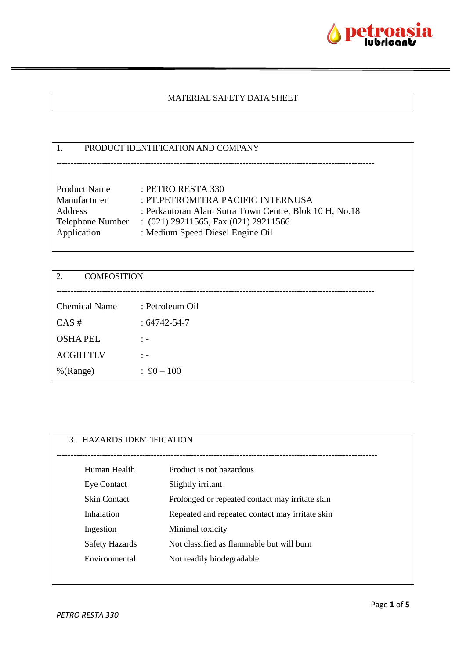

## MATERIAL SAFETY DATA SHEET

#### 1. PRODUCT IDENTIFICATION AND COMPANY

| <b>Product Name</b> | : PETRO RESTA 330                                      |
|---------------------|--------------------------------------------------------|
| Manufacturer        | : PT.PETROMITRA PACIFIC INTERNUSA                      |
| Address             | : Perkantoran Alam Sutra Town Centre, Blok 10 H, No.18 |
| Telephone Number    | $(021)$ 29211565, Fax $(021)$ 29211566                 |
| Application         | : Medium Speed Diesel Engine Oil                       |

---------------------------------------------------------------------------------------------------------------

| 2.<br><b>COMPOSITION</b>         |  |  |
|----------------------------------|--|--|
| : Petroleum Oil                  |  |  |
| $: 64742 - 54 - 7$               |  |  |
| $\ddot{ }$ $\ddot{ }$ $\ddot{ }$ |  |  |
| $\frac{1}{2}$ $\frac{1}{2}$      |  |  |
| $: 90 - 100$                     |  |  |
|                                  |  |  |

| 3. HAZARDS IDENTIFICATION |                                                 |
|---------------------------|-------------------------------------------------|
|                           |                                                 |
|                           |                                                 |
| Human Health              | Product is not hazardous                        |
| <b>Eye Contact</b>        | Slightly irritant                               |
| <b>Skin Contact</b>       | Prolonged or repeated contact may irritate skin |
| Inhalation                | Repeated and repeated contact may irritate skin |
| Ingestion                 | Minimal toxicity                                |
| <b>Safety Hazards</b>     | Not classified as flammable but will burn       |
| Environmental             | Not readily biodegradable                       |
|                           |                                                 |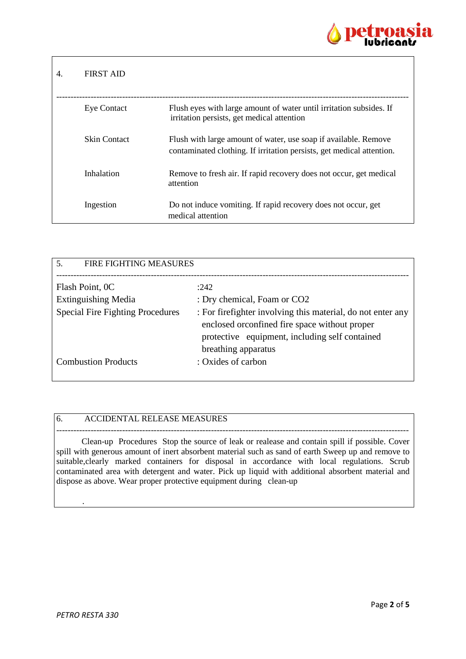

| <b>FIRST AID</b>    |                                                                                                                                          |
|---------------------|------------------------------------------------------------------------------------------------------------------------------------------|
| <b>Eye Contact</b>  | Flush eyes with large amount of water until irritation subsides. If<br>irritation persists, get medical attention                        |
| <b>Skin Contact</b> | Flush with large amount of water, use soap if available. Remove<br>contaminated clothing. If irritation persists, get medical attention. |
| Inhalation          | Remove to fresh air. If rapid recovery does not occur, get medical<br>attention                                                          |
| Ingestion           | Do not induce vomiting. If rapid recovery does not occur, get<br>medical attention                                                       |

| <b>FIRE FIGHTING MEASURES</b><br>.5.    |                                                                                                                                                                                         |
|-----------------------------------------|-----------------------------------------------------------------------------------------------------------------------------------------------------------------------------------------|
| Flash Point, OC                         | :242                                                                                                                                                                                    |
| <b>Extinguishing Media</b>              | : Dry chemical, Foam or CO2                                                                                                                                                             |
| <b>Special Fire Fighting Procedures</b> | : For fire fighter involving this material, do not enter any<br>enclosed or confined fire space without proper<br>protective equipment, including self contained<br>breathing apparatus |
| <b>Combustion Products</b>              | : Oxides of carbon                                                                                                                                                                      |

### 6. ACCIDENTAL RELEASE MEASURES

 Clean-up Procedures Stop the source of leak or realease and contain spill if possible. Cover spill with generous amount of inert absorbent material such as sand of earth Sweep up and remove to suitable, clearly marked containers for disposal in accordance with local regulations. Scrub contaminated area with detergent and water. Pick up liquid with additional absorbent material and dispose as above. Wear proper protective equipment during clean-up

---------------------------------------------------------------------------------------------------------------------------

.

Г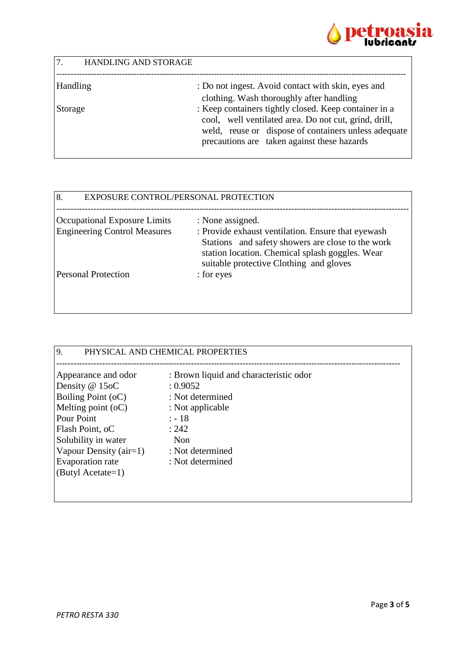

| 7 <sub>1</sub><br><b>HANDLING AND STORAGE</b> |                                                                                                                                                                                                                       |
|-----------------------------------------------|-----------------------------------------------------------------------------------------------------------------------------------------------------------------------------------------------------------------------|
| Handling                                      | : Do not ingest. Avoid contact with skin, eyes and                                                                                                                                                                    |
|                                               | clothing. Wash thoroughly after handling                                                                                                                                                                              |
| Storage                                       | : Keep containers tightly closed. Keep container in a<br>cool, well ventilated area. Do not cut, grind, drill,<br>weld, reuse or dispose of containers unless adequate<br>precautions are taken against these hazards |

| 8.<br>EXPOSURE CONTROL/PERSONAL PROTECTION |                                                                                                                                                                                                       |
|--------------------------------------------|-------------------------------------------------------------------------------------------------------------------------------------------------------------------------------------------------------|
| <b>Occupational Exposure Limits</b>        | : None assigned.                                                                                                                                                                                      |
| <b>Engineering Control Measures</b>        | : Provide exhaust ventilation. Ensure that eyewash<br>Stations and safety showers are close to the work<br>station location. Chemical splash goggles. Wear<br>suitable protective Clothing and gloves |
| <b>Personal Protection</b>                 | : for eyes                                                                                                                                                                                            |

| 9.<br>PHYSICAL AND CHEMICAL PROPERTIES                                                                                                                                                                                   |                                                                                                                                                               |  |
|--------------------------------------------------------------------------------------------------------------------------------------------------------------------------------------------------------------------------|---------------------------------------------------------------------------------------------------------------------------------------------------------------|--|
| Appearance and odor<br>Density $@15oC$<br><b>Boiling Point (oC)</b><br>Melting point $(oC)$<br>Pour Point<br>Flash Point, oC<br>Solubility in water<br>Vapour Density (air=1)<br>Evaporation rate<br>$(ButyI Acctate=1)$ | : Brown liquid and characteristic odor<br>: 0.9052<br>: Not determined<br>: Not applicable<br>$: -18$<br>: 242<br>Non<br>: Not determined<br>: Not determined |  |
|                                                                                                                                                                                                                          |                                                                                                                                                               |  |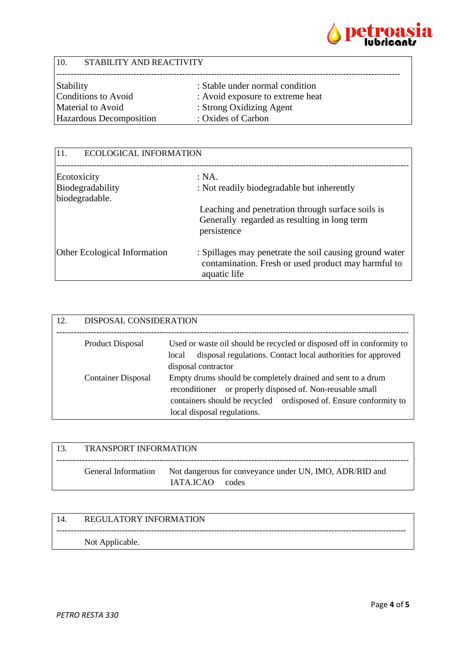

| 10.                                             | STABILITY AND REACTIVITY                                     |  |  |
|-------------------------------------------------|--------------------------------------------------------------|--|--|
| Stability                                       | : Stable under normal condition                              |  |  |
| <b>Conditions to Avoid</b><br>Material to Avoid | : Avoid exposure to extreme heat<br>: Strong Oxidizing Agent |  |  |
| Hazardous Decomposition                         | : Oxides of Carbon                                           |  |  |
|                                                 |                                                              |  |  |

| <b>ECOLOGICAL INFORMATION</b><br>11. |                                                                                                                                |
|--------------------------------------|--------------------------------------------------------------------------------------------------------------------------------|
| Ecotoxicity                          | : NA.                                                                                                                          |
| Biodegradability                     | : Not readily biodegradable but inherently                                                                                     |
| biodegradable.                       |                                                                                                                                |
|                                      | Leaching and penetration through surface soils is                                                                              |
|                                      | Generally regarded as resulting in long term<br>persistence                                                                    |
| <b>Other Ecological Information</b>  | : Spillages may penetrate the soil causing ground water<br>contamination. Fresh or used product may harmful to<br>aquatic life |

| 12. | DISPOSAL CONSIDERATION    |                                                                                                                                                                                                                                 |
|-----|---------------------------|---------------------------------------------------------------------------------------------------------------------------------------------------------------------------------------------------------------------------------|
|     | Product Disposal          | Used or waste oil should be recycled or disposed off in conformity to<br>disposal regulations. Contact local authorities for approved<br>local<br>disposal contractor                                                           |
|     | <b>Container Disposal</b> | Empty drums should be completely drained and sent to a drum<br>or properly disposed of. Non-reusable small<br>reconditioner<br>containers should be recycled ordisposed of. Ensure conformity to<br>local disposal regulations. |

| -13. | <b>TRANSPORT INFORMATION</b> |                                                                           |
|------|------------------------------|---------------------------------------------------------------------------|
|      | General Information          | Not dangerous for conveyance under UN, IMO, ADR/RID and<br>IATAJCAO codes |

--------------------------------------------------------------------------------------------------------------------------

# 14. REGULATORY INFORMATION

Not Applicable.